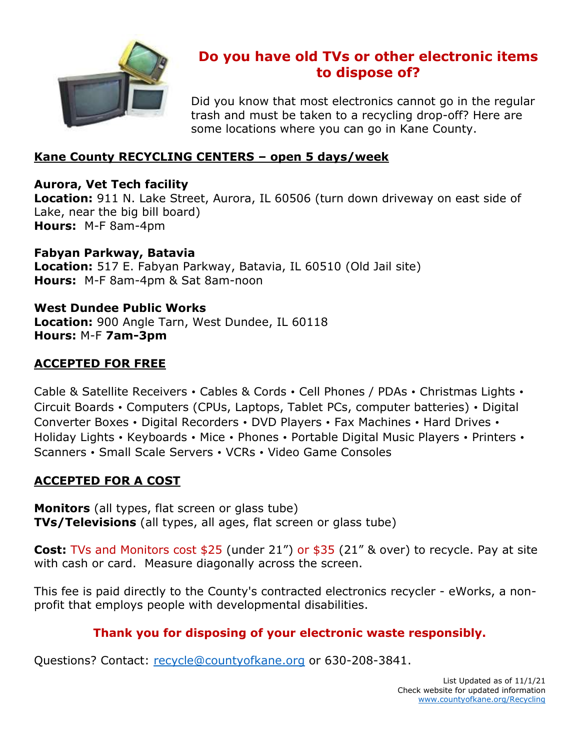

# **Do you have old TVs or other electronic items to dispose of?**

Did you know that most electronics cannot go in the regular trash and must be taken to a recycling drop-off? Here are some locations where you can go in Kane County.

## **Kane County RECYCLING CENTERS – open 5 days/week**

### **Aurora, Vet Tech facility**

**Location:** 911 N. Lake Street, Aurora, IL 60506 (turn down driveway on east side of Lake, near the big bill board) **Hours:** M-F 8am-4pm

**Fabyan Parkway, Batavia Location:** 517 E. Fabyan Parkway, Batavia, IL 60510 (Old Jail site) **Hours:** M-F 8am-4pm & Sat 8am-noon

**West Dundee Public Works Location:** 900 Angle Tarn, West Dundee, IL 60118 **Hours:** M-F **7am-3pm**

## **ACCEPTED FOR FREE**

Cable & Satellite Receivers • Cables & Cords • Cell Phones / PDAs • Christmas Lights • Circuit Boards • Computers (CPUs, Laptops, Tablet PCs, computer batteries) • Digital Converter Boxes • Digital Recorders • DVD Players • Fax Machines • Hard Drives • Holiday Lights • Keyboards • Mice • Phones • Portable Digital Music Players • Printers • Scanners • Small Scale Servers • VCRs • Video Game Consoles

## **ACCEPTED FOR A COST**

**Monitors** (all types, flat screen or glass tube) **TVs/Televisions** (all types, all ages, flat screen or glass tube)

**Cost:** TVs and Monitors cost \$25 (under 21") or \$35 (21" & over) to recycle. Pay at site with cash or card. Measure diagonally across the screen.

This fee is paid directly to the County's contracted electronics recycler - eWorks, a nonprofit that employs people with developmental disabilities.

## **Thank you for disposing of your electronic waste responsibly.**

Questions? Contact: [recycle@countyofkane.org](mailto:recycle@countyofkane.org) or 630-208-3841.